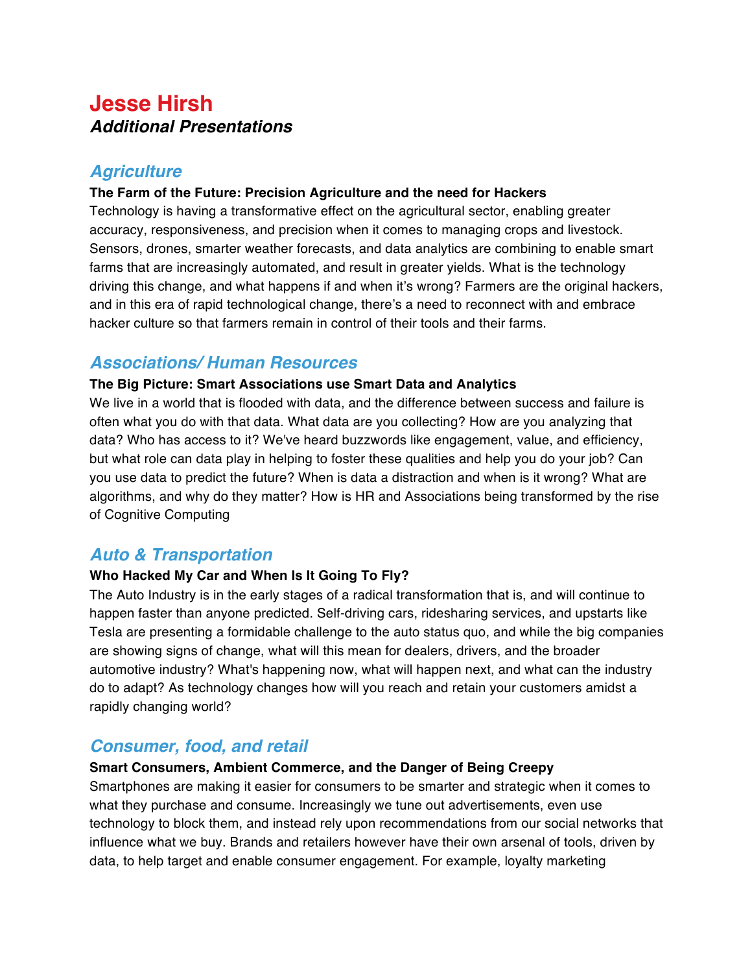# **Jesse Hirsh Additional Presentations**

# **Agriculture**

### **The Farm of the Future: Precision Agriculture and the need for Hackers**

Technology is having a transformative effect on the agricultural sector, enabling greater accuracy, responsiveness, and precision when it comes to managing crops and livestock. Sensors, drones, smarter weather forecasts, and data analytics are combining to enable smart farms that are increasingly automated, and result in greater yields. What is the technology driving this change, and what happens if and when it's wrong? Farmers are the original hackers, and in this era of rapid technological change, there's a need to reconnect with and embrace hacker culture so that farmers remain in control of their tools and their farms.

# **Associations/ Human Resources**

### **The Big Picture: Smart Associations use Smart Data and Analytics**

We live in a world that is flooded with data, and the difference between success and failure is often what you do with that data. What data are you collecting? How are you analyzing that data? Who has access to it? We've heard buzzwords like engagement, value, and efficiency, but what role can data play in helping to foster these qualities and help you do your job? Can you use data to predict the future? When is data a distraction and when is it wrong? What are algorithms, and why do they matter? How is HR and Associations being transformed by the rise of Cognitive Computing

# **Auto & Transportation**

### **Who Hacked My Car and When Is It Going To Fly?**

The Auto Industry is in the early stages of a radical transformation that is, and will continue to happen faster than anyone predicted. Self-driving cars, ridesharing services, and upstarts like Tesla are presenting a formidable challenge to the auto status quo, and while the big companies are showing signs of change, what will this mean for dealers, drivers, and the broader automotive industry? What's happening now, what will happen next, and what can the industry do to adapt? As technology changes how will you reach and retain your customers amidst a rapidly changing world?

# **Consumer, food, and retail**

### **Smart Consumers, Ambient Commerce, and the Danger of Being Creepy**

Smartphones are making it easier for consumers to be smarter and strategic when it comes to what they purchase and consume. Increasingly we tune out advertisements, even use technology to block them, and instead rely upon recommendations from our social networks that influence what we buy. Brands and retailers however have their own arsenal of tools, driven by data, to help target and enable consumer engagement. For example, loyalty marketing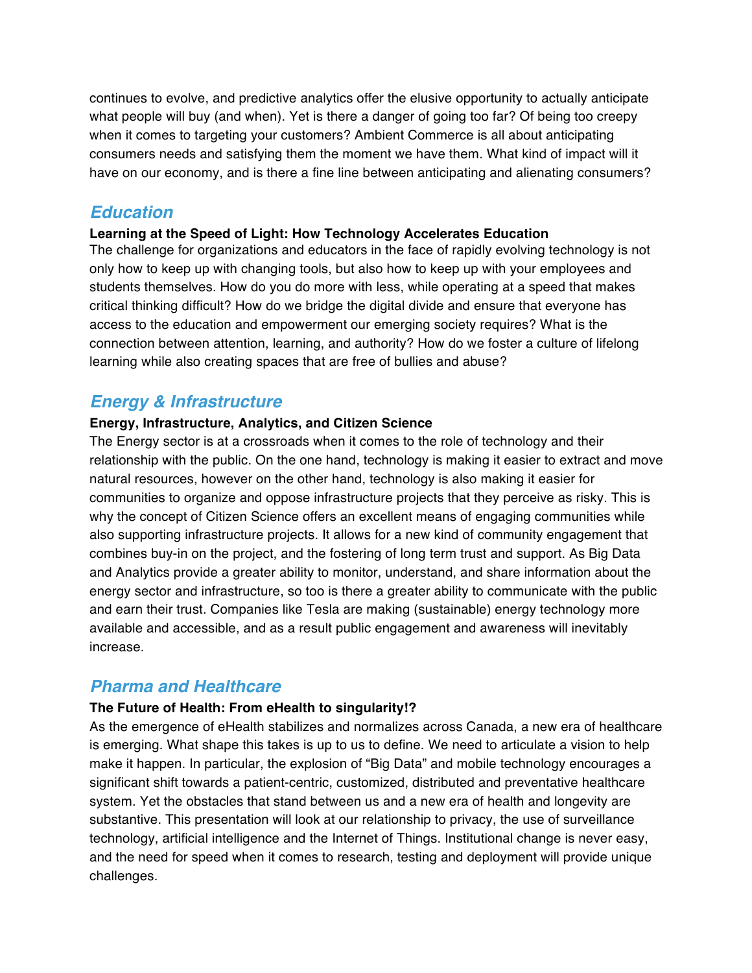continues to evolve, and predictive analytics offer the elusive opportunity to actually anticipate what people will buy (and when). Yet is there a danger of going too far? Of being too creepy when it comes to targeting your customers? Ambient Commerce is all about anticipating consumers needs and satisfying them the moment we have them. What kind of impact will it have on our economy, and is there a fine line between anticipating and alienating consumers?

### **Education**

#### **Learning at the Speed of Light: How Technology Accelerates Education**

The challenge for organizations and educators in the face of rapidly evolving technology is not only how to keep up with changing tools, but also how to keep up with your employees and students themselves. How do you do more with less, while operating at a speed that makes critical thinking difficult? How do we bridge the digital divide and ensure that everyone has access to the education and empowerment our emerging society requires? What is the connection between attention, learning, and authority? How do we foster a culture of lifelong learning while also creating spaces that are free of bullies and abuse?

# **Energy & Infrastructure**

#### **Energy, Infrastructure, Analytics, and Citizen Science**

The Energy sector is at a crossroads when it comes to the role of technology and their relationship with the public. On the one hand, technology is making it easier to extract and move natural resources, however on the other hand, technology is also making it easier for communities to organize and oppose infrastructure projects that they perceive as risky. This is why the concept of Citizen Science offers an excellent means of engaging communities while also supporting infrastructure projects. It allows for a new kind of community engagement that combines buy-in on the project, and the fostering of long term trust and support. As Big Data and Analytics provide a greater ability to monitor, understand, and share information about the energy sector and infrastructure, so too is there a greater ability to communicate with the public and earn their trust. Companies like Tesla are making (sustainable) energy technology more available and accessible, and as a result public engagement and awareness will inevitably increase.

### **Pharma and Healthcare**

#### **The Future of Health: From eHealth to singularity!?**

As the emergence of eHealth stabilizes and normalizes across Canada, a new era of healthcare is emerging. What shape this takes is up to us to define. We need to articulate a vision to help make it happen. In particular, the explosion of "Big Data" and mobile technology encourages a significant shift towards a patient-centric, customized, distributed and preventative healthcare system. Yet the obstacles that stand between us and a new era of health and longevity are substantive. This presentation will look at our relationship to privacy, the use of surveillance technology, artificial intelligence and the Internet of Things. Institutional change is never easy, and the need for speed when it comes to research, testing and deployment will provide unique challenges.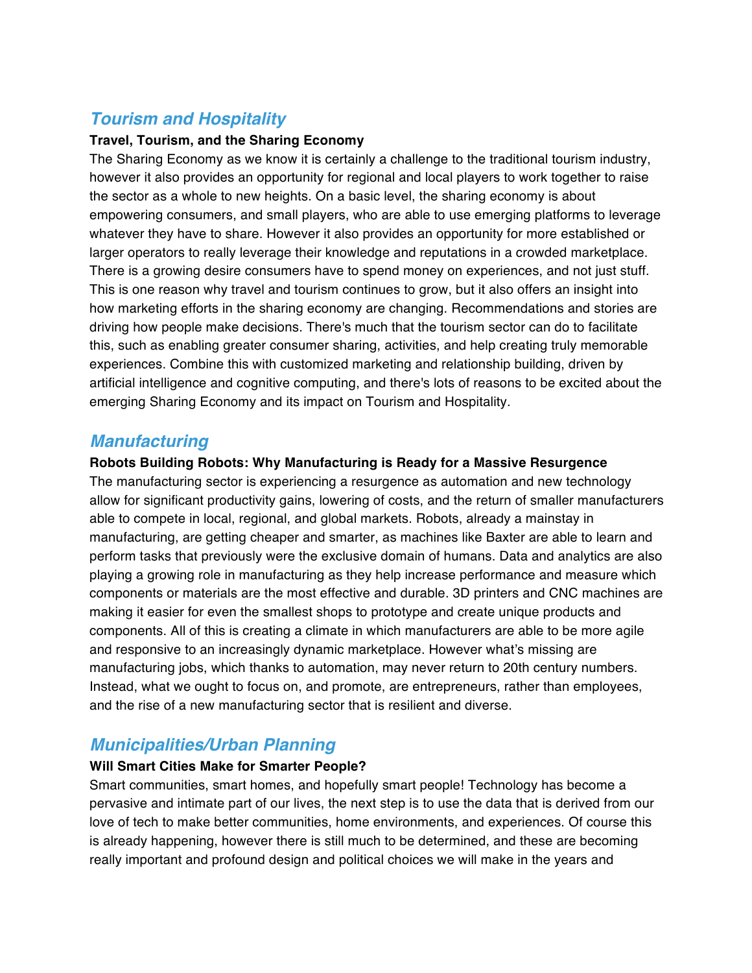# **Tourism and Hospitality**

#### **Travel, Tourism, and the Sharing Economy**

The Sharing Economy as we know it is certainly a challenge to the traditional tourism industry, however it also provides an opportunity for regional and local players to work together to raise the sector as a whole to new heights. On a basic level, the sharing economy is about empowering consumers, and small players, who are able to use emerging platforms to leverage whatever they have to share. However it also provides an opportunity for more established or larger operators to really leverage their knowledge and reputations in a crowded marketplace. There is a growing desire consumers have to spend money on experiences, and not just stuff. This is one reason why travel and tourism continues to grow, but it also offers an insight into how marketing efforts in the sharing economy are changing. Recommendations and stories are driving how people make decisions. There's much that the tourism sector can do to facilitate this, such as enabling greater consumer sharing, activities, and help creating truly memorable experiences. Combine this with customized marketing and relationship building, driven by artificial intelligence and cognitive computing, and there's lots of reasons to be excited about the emerging Sharing Economy and its impact on Tourism and Hospitality.

# **Manufacturing**

### **Robots Building Robots: Why Manufacturing is Ready for a Massive Resurgence**

The manufacturing sector is experiencing a resurgence as automation and new technology allow for significant productivity gains, lowering of costs, and the return of smaller manufacturers able to compete in local, regional, and global markets. Robots, already a mainstay in manufacturing, are getting cheaper and smarter, as machines like Baxter are able to learn and perform tasks that previously were the exclusive domain of humans. Data and analytics are also playing a growing role in manufacturing as they help increase performance and measure which components or materials are the most effective and durable. 3D printers and CNC machines are making it easier for even the smallest shops to prototype and create unique products and components. All of this is creating a climate in which manufacturers are able to be more agile and responsive to an increasingly dynamic marketplace. However what's missing are manufacturing jobs, which thanks to automation, may never return to 20th century numbers. Instead, what we ought to focus on, and promote, are entrepreneurs, rather than employees, and the rise of a new manufacturing sector that is resilient and diverse.

# **Municipalities/Urban Planning**

### **Will Smart Cities Make for Smarter People?**

Smart communities, smart homes, and hopefully smart people! Technology has become a pervasive and intimate part of our lives, the next step is to use the data that is derived from our love of tech to make better communities, home environments, and experiences. Of course this is already happening, however there is still much to be determined, and these are becoming really important and profound design and political choices we will make in the years and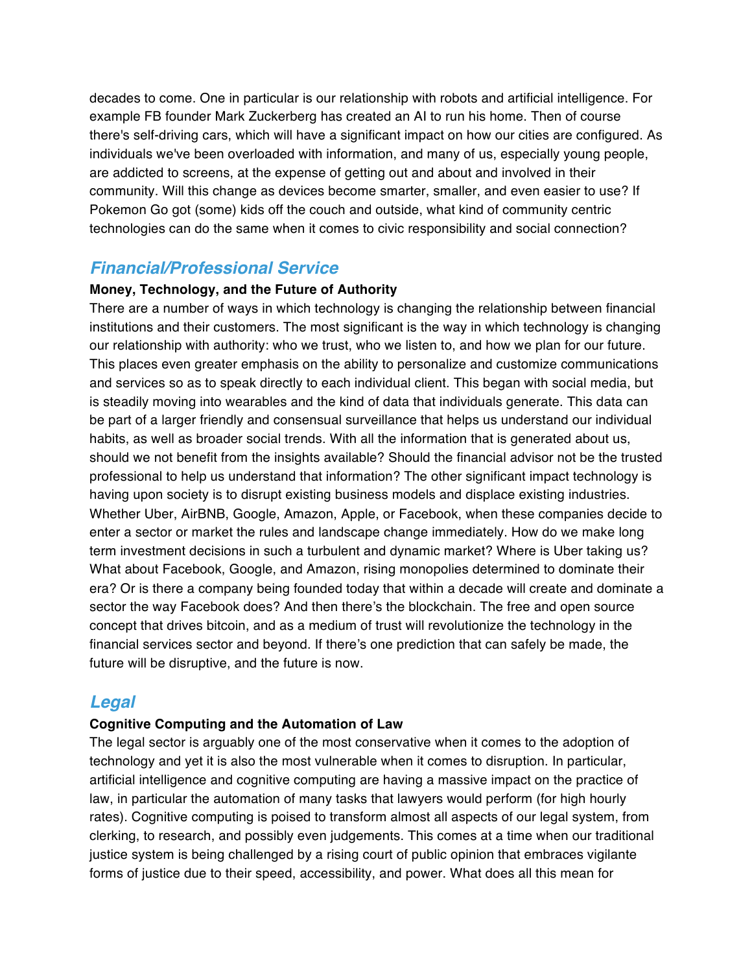decades to come. One in particular is our relationship with robots and artificial intelligence. For example FB founder Mark Zuckerberg has created an AI to run his home. Then of course there's self-driving cars, which will have a significant impact on how our cities are configured. As individuals we've been overloaded with information, and many of us, especially young people, are addicted to screens, at the expense of getting out and about and involved in their community. Will this change as devices become smarter, smaller, and even easier to use? If Pokemon Go got (some) kids off the couch and outside, what kind of community centric technologies can do the same when it comes to civic responsibility and social connection?

### **Financial/Professional Service**

#### **Money, Technology, and the Future of Authority**

There are a number of ways in which technology is changing the relationship between financial institutions and their customers. The most significant is the way in which technology is changing our relationship with authority: who we trust, who we listen to, and how we plan for our future. This places even greater emphasis on the ability to personalize and customize communications and services so as to speak directly to each individual client. This began with social media, but is steadily moving into wearables and the kind of data that individuals generate. This data can be part of a larger friendly and consensual surveillance that helps us understand our individual habits, as well as broader social trends. With all the information that is generated about us, should we not benefit from the insights available? Should the financial advisor not be the trusted professional to help us understand that information? The other significant impact technology is having upon society is to disrupt existing business models and displace existing industries. Whether Uber, AirBNB, Google, Amazon, Apple, or Facebook, when these companies decide to enter a sector or market the rules and landscape change immediately. How do we make long term investment decisions in such a turbulent and dynamic market? Where is Uber taking us? What about Facebook, Google, and Amazon, rising monopolies determined to dominate their era? Or is there a company being founded today that within a decade will create and dominate a sector the way Facebook does? And then there's the blockchain. The free and open source concept that drives bitcoin, and as a medium of trust will revolutionize the technology in the financial services sector and beyond. If there's one prediction that can safely be made, the future will be disruptive, and the future is now.

### **Legal**

#### **Cognitive Computing and the Automation of Law**

The legal sector is arguably one of the most conservative when it comes to the adoption of technology and yet it is also the most vulnerable when it comes to disruption. In particular, artificial intelligence and cognitive computing are having a massive impact on the practice of law, in particular the automation of many tasks that lawyers would perform (for high hourly rates). Cognitive computing is poised to transform almost all aspects of our legal system, from clerking, to research, and possibly even judgements. This comes at a time when our traditional justice system is being challenged by a rising court of public opinion that embraces vigilante forms of justice due to their speed, accessibility, and power. What does all this mean for